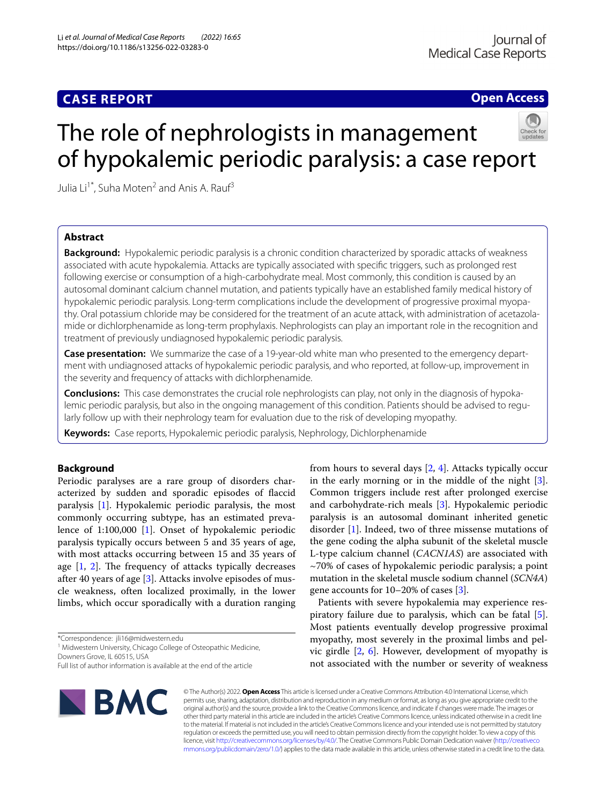# **CASE REPORT**

**Open Access**

# The role of nephrologists in management of hypokalemic periodic paralysis: a case report



Julia Li<sup>1\*</sup>, Suha Moten<sup>2</sup> and Anis A. Rauf<sup>3</sup>

# **Abstract**

**Background:** Hypokalemic periodic paralysis is a chronic condition characterized by sporadic attacks of weakness associated with acute hypokalemia. Attacks are typically associated with specifc triggers, such as prolonged rest following exercise or consumption of a high-carbohydrate meal. Most commonly, this condition is caused by an autosomal dominant calcium channel mutation, and patients typically have an established family medical history of hypokalemic periodic paralysis. Long-term complications include the development of progressive proximal myopathy. Oral potassium chloride may be considered for the treatment of an acute attack, with administration of acetazolamide or dichlorphenamide as long-term prophylaxis. Nephrologists can play an important role in the recognition and treatment of previously undiagnosed hypokalemic periodic paralysis.

**Case presentation:** We summarize the case of a 19-year-old white man who presented to the emergency department with undiagnosed attacks of hypokalemic periodic paralysis, and who reported, at follow-up, improvement in the severity and frequency of attacks with dichlorphenamide.

**Conclusions:** This case demonstrates the crucial role nephrologists can play, not only in the diagnosis of hypokalemic periodic paralysis, but also in the ongoing management of this condition. Patients should be advised to regularly follow up with their nephrology team for evaluation due to the risk of developing myopathy.

**Keywords:** Case reports, Hypokalemic periodic paralysis, Nephrology, Dichlorphenamide

# **Background**

Periodic paralyses are a rare group of disorders characterized by sudden and sporadic episodes of faccid paralysis [\[1](#page-3-0)]. Hypokalemic periodic paralysis, the most commonly occurring subtype, has an estimated prevalence of 1:100,000 [\[1](#page-3-0)]. Onset of hypokalemic periodic paralysis typically occurs between 5 and 35 years of age, with most attacks occurring between 15 and 35 years of age  $[1, 2]$  $[1, 2]$  $[1, 2]$  $[1, 2]$ . The frequency of attacks typically decreases after 40 years of age  $[3]$  $[3]$  $[3]$ . Attacks involve episodes of muscle weakness, often localized proximally, in the lower limbs, which occur sporadically with a duration ranging

\*Correspondence: jli16@midwestern.edu

<sup>1</sup> Midwestern University, Chicago College of Osteopathic Medicine, Downers Grove, IL 60515, USA

Full list of author information is available at the end of the article



from hours to several days [[2,](#page-3-1) [4\]](#page-3-3). Attacks typically occur in the early morning or in the middle of the night [\[3](#page-3-2)]. Common triggers include rest after prolonged exercise and carbohydrate-rich meals [\[3](#page-3-2)]. Hypokalemic periodic paralysis is an autosomal dominant inherited genetic disorder [\[1](#page-3-0)]. Indeed, two of three missense mutations of the gene coding the alpha subunit of the skeletal muscle L-type calcium channel (*CACN1AS*) are associated with ~70% of cases of hypokalemic periodic paralysis; a point mutation in the skeletal muscle sodium channel (*SCN4A*) gene accounts for 10–20% of cases [[3](#page-3-2)].

Patients with severe hypokalemia may experience respiratory failure due to paralysis, which can be fatal [\[5](#page-4-0)]. Most patients eventually develop progressive proximal myopathy, most severely in the proximal limbs and pelvic girdle [[2,](#page-3-1) [6\]](#page-4-1). However, development of myopathy is not associated with the number or severity of weakness

© The Author(s) 2022. **Open Access** This article is licensed under a Creative Commons Attribution 4.0 International License, which permits use, sharing, adaptation, distribution and reproduction in any medium or format, as long as you give appropriate credit to the original author(s) and the source, provide a link to the Creative Commons licence, and indicate if changes were made. The images or other third party material in this article are included in the article's Creative Commons licence, unless indicated otherwise in a credit line to the material. If material is not included in the article's Creative Commons licence and your intended use is not permitted by statutory regulation or exceeds the permitted use, you will need to obtain permission directly from the copyright holder. To view a copy of this licence, visit [http://creativecommons.org/licenses/by/4.0/.](http://creativecommons.org/licenses/by/4.0/) The Creative Commons Public Domain Dedication waiver ([http://creativeco](http://creativecommons.org/publicdomain/zero/1.0/) [mmons.org/publicdomain/zero/1.0/](http://creativecommons.org/publicdomain/zero/1.0/)) applies to the data made available in this article, unless otherwise stated in a credit line to the data.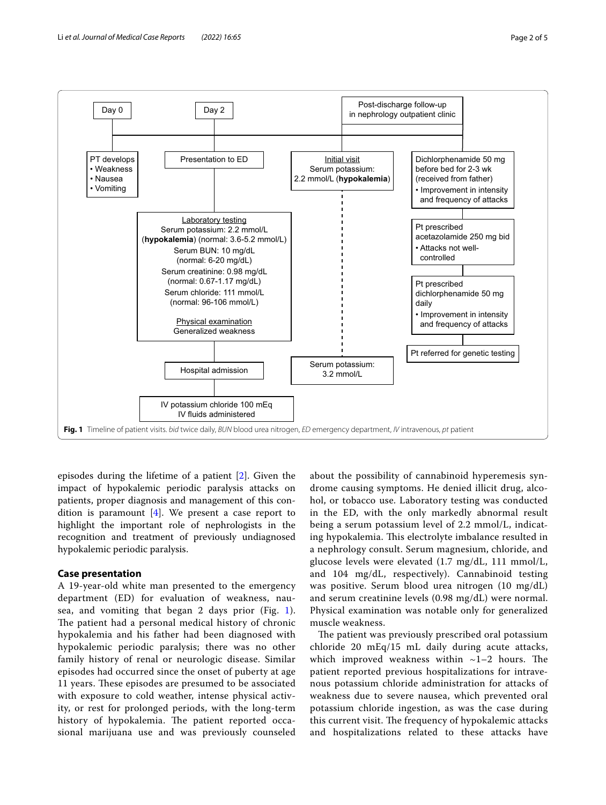

<span id="page-1-0"></span>episodes during the lifetime of a patient [[2\]](#page-3-1). Given the impact of hypokalemic periodic paralysis attacks on patients, proper diagnosis and management of this condition is paramount  $[4]$  $[4]$ . We present a case report to highlight the important role of nephrologists in the recognition and treatment of previously undiagnosed hypokalemic periodic paralysis.

# **Case presentation**

A 19-year-old white man presented to the emergency department (ED) for evaluation of weakness, nausea, and vomiting that began 2 days prior (Fig. [1\)](#page-1-0). The patient had a personal medical history of chronic hypokalemia and his father had been diagnosed with hypokalemic periodic paralysis; there was no other family history of renal or neurologic disease. Similar episodes had occurred since the onset of puberty at age 11 years. These episodes are presumed to be associated with exposure to cold weather, intense physical activity, or rest for prolonged periods, with the long-term history of hypokalemia. The patient reported occasional marijuana use and was previously counseled

about the possibility of cannabinoid hyperemesis syndrome causing symptoms. He denied illicit drug, alcohol, or tobacco use. Laboratory testing was conducted in the ED, with the only markedly abnormal result being a serum potassium level of 2.2 mmol/L, indicating hypokalemia. This electrolyte imbalance resulted in a nephrology consult. Serum magnesium, chloride, and glucose levels were elevated (1.7 mg/dL, 111 mmol/L, and 104 mg/dL, respectively). Cannabinoid testing was positive. Serum blood urea nitrogen (10 mg/dL) and serum creatinine levels (0.98 mg/dL) were normal. Physical examination was notable only for generalized muscle weakness.

The patient was previously prescribed oral potassium chloride 20 mEq/15 mL daily during acute attacks, which improved weakness within  $\sim$ 1–2 hours. The patient reported previous hospitalizations for intravenous potassium chloride administration for attacks of weakness due to severe nausea, which prevented oral potassium chloride ingestion, as was the case during this current visit. The frequency of hypokalemic attacks and hospitalizations related to these attacks have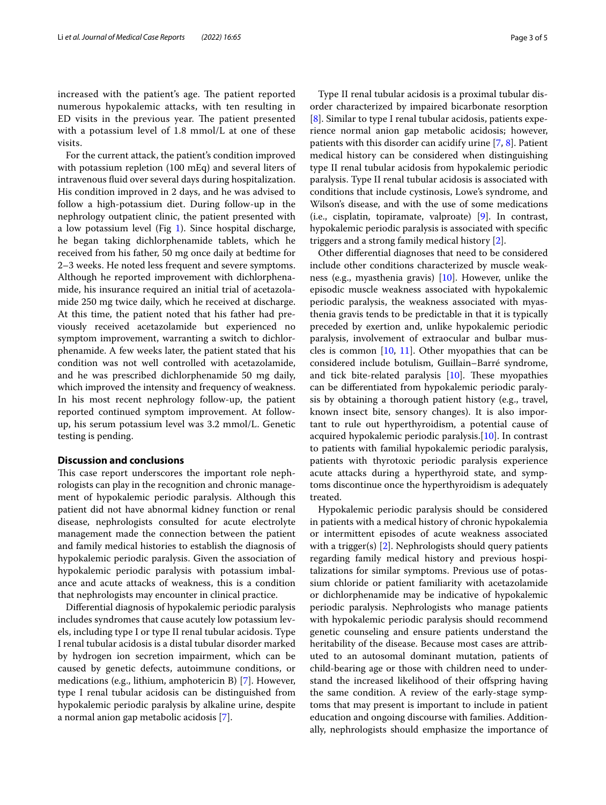increased with the patient's age. The patient reported numerous hypokalemic attacks, with ten resulting in ED visits in the previous year. The patient presented with a potassium level of 1.8 mmol/L at one of these visits.

For the current attack, the patient's condition improved with potassium repletion (100 mEq) and several liters of intravenous fuid over several days during hospitalization. His condition improved in 2 days, and he was advised to follow a high-potassium diet. During follow-up in the nephrology outpatient clinic, the patient presented with a low potassium level (Fig [1](#page-1-0)). Since hospital discharge, he began taking dichlorphenamide tablets, which he received from his father, 50 mg once daily at bedtime for 2–3 weeks. He noted less frequent and severe symptoms. Although he reported improvement with dichlorphenamide, his insurance required an initial trial of acetazolamide 250 mg twice daily, which he received at discharge. At this time, the patient noted that his father had previously received acetazolamide but experienced no symptom improvement, warranting a switch to dichlorphenamide. A few weeks later, the patient stated that his condition was not well controlled with acetazolamide, and he was prescribed dichlorphenamide 50 mg daily, which improved the intensity and frequency of weakness. In his most recent nephrology follow-up, the patient reported continued symptom improvement. At followup, his serum potassium level was 3.2 mmol/L. Genetic testing is pending.

# **Discussion and conclusions**

This case report underscores the important role nephrologists can play in the recognition and chronic management of hypokalemic periodic paralysis. Although this patient did not have abnormal kidney function or renal disease, nephrologists consulted for acute electrolyte management made the connection between the patient and family medical histories to establish the diagnosis of hypokalemic periodic paralysis. Given the association of hypokalemic periodic paralysis with potassium imbalance and acute attacks of weakness, this is a condition that nephrologists may encounter in clinical practice.

Diferential diagnosis of hypokalemic periodic paralysis includes syndromes that cause acutely low potassium levels, including type I or type II renal tubular acidosis. Type I renal tubular acidosis is a distal tubular disorder marked by hydrogen ion secretion impairment, which can be caused by genetic defects, autoimmune conditions, or medications (e.g., lithium, amphotericin B) [[7\]](#page-4-2). However, type I renal tubular acidosis can be distinguished from hypokalemic periodic paralysis by alkaline urine, despite a normal anion gap metabolic acidosis [\[7](#page-4-2)].

Type II renal tubular acidosis is a proximal tubular disorder characterized by impaired bicarbonate resorption [[8\]](#page-4-3). Similar to type I renal tubular acidosis, patients experience normal anion gap metabolic acidosis; however, patients with this disorder can acidify urine [[7,](#page-4-2) [8\]](#page-4-3). Patient medical history can be considered when distinguishing type II renal tubular acidosis from hypokalemic periodic paralysis. Type II renal tubular acidosis is associated with conditions that include cystinosis, Lowe's syndrome, and Wilson's disease, and with the use of some medications (i.e., cisplatin, topiramate, valproate) [\[9](#page-4-4)]. In contrast, hypokalemic periodic paralysis is associated with specifc triggers and a strong family medical history [\[2](#page-3-1)].

Other diferential diagnoses that need to be considered include other conditions characterized by muscle weakness (e.g., myasthenia gravis) [[10](#page-4-5)]. However, unlike the episodic muscle weakness associated with hypokalemic periodic paralysis, the weakness associated with myasthenia gravis tends to be predictable in that it is typically preceded by exertion and, unlike hypokalemic periodic paralysis, involvement of extraocular and bulbar muscles is common  $[10, 11]$  $[10, 11]$  $[10, 11]$ . Other myopathies that can be considered include botulism, Guillain–Barré syndrome, and tick bite-related paralysis  $[10]$  $[10]$ . These myopathies can be diferentiated from hypokalemic periodic paralysis by obtaining a thorough patient history (e.g., travel, known insect bite, sensory changes). It is also important to rule out hyperthyroidism, a potential cause of acquired hypokalemic periodic paralysis.[[10](#page-4-5)]. In contrast to patients with familial hypokalemic periodic paralysis, patients with thyrotoxic periodic paralysis experience acute attacks during a hyperthyroid state, and symptoms discontinue once the hyperthyroidism is adequately treated.

Hypokalemic periodic paralysis should be considered in patients with a medical history of chronic hypokalemia or intermittent episodes of acute weakness associated with a trigger(s) [\[2](#page-3-1)]. Nephrologists should query patients regarding family medical history and previous hospitalizations for similar symptoms. Previous use of potassium chloride or patient familiarity with acetazolamide or dichlorphenamide may be indicative of hypokalemic periodic paralysis. Nephrologists who manage patients with hypokalemic periodic paralysis should recommend genetic counseling and ensure patients understand the heritability of the disease. Because most cases are attributed to an autosomal dominant mutation, patients of child-bearing age or those with children need to understand the increased likelihood of their offspring having the same condition. A review of the early-stage symptoms that may present is important to include in patient education and ongoing discourse with families. Additionally, nephrologists should emphasize the importance of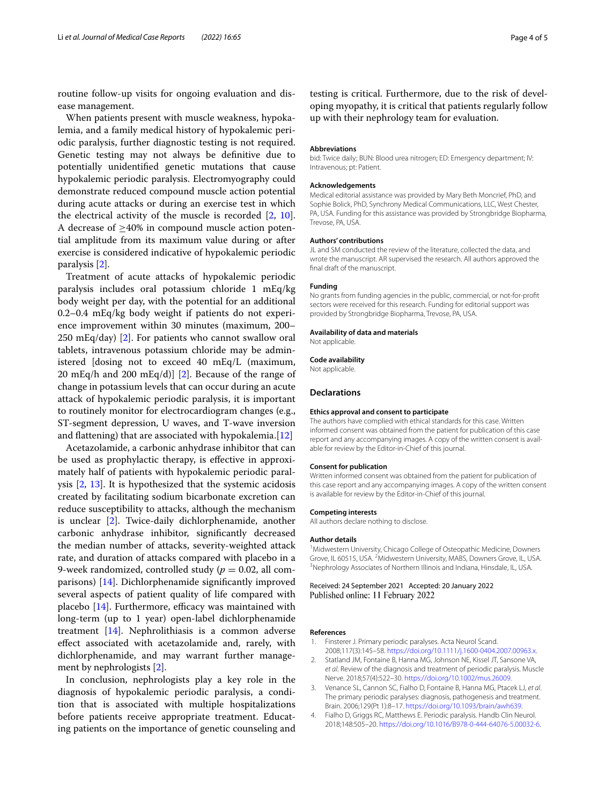routine follow-up visits for ongoing evaluation and disease management.

When patients present with muscle weakness, hypokalemia, and a family medical history of hypokalemic periodic paralysis, further diagnostic testing is not required. Genetic testing may not always be defnitive due to potentially unidentifed genetic mutations that cause hypokalemic periodic paralysis. Electromyography could demonstrate reduced compound muscle action potential during acute attacks or during an exercise test in which the electrical activity of the muscle is recorded [\[2](#page-3-1), [10](#page-4-5)]. A decrease of  $\geq$ 40% in compound muscle action potential amplitude from its maximum value during or after exercise is considered indicative of hypokalemic periodic paralysis [[2](#page-3-1)].

Treatment of acute attacks of hypokalemic periodic paralysis includes oral potassium chloride 1 mEq/kg body weight per day, with the potential for an additional 0.2–0.4 mEq/kg body weight if patients do not experience improvement within 30 minutes (maximum, 200– 250 mEq/day) [[2\]](#page-3-1). For patients who cannot swallow oral tablets, intravenous potassium chloride may be administered [dosing not to exceed 40 mEq/L (maximum, 20 mEq/h and 200 mEq/d)] [\[2](#page-3-1)]. Because of the range of change in potassium levels that can occur during an acute attack of hypokalemic periodic paralysis, it is important to routinely monitor for electrocardiogram changes (e.g., ST-segment depression, U waves, and T-wave inversion and fattening) that are associated with hypokalemia.[[12\]](#page-4-7)

Acetazolamide, a carbonic anhydrase inhibitor that can be used as prophylactic therapy, is efective in approximately half of patients with hypokalemic periodic paralysis [[2,](#page-3-1) [13](#page-4-8)]. It is hypothesized that the systemic acidosis created by facilitating sodium bicarbonate excretion can reduce susceptibility to attacks, although the mechanism is unclear [[2\]](#page-3-1). Twice-daily dichlorphenamide, another carbonic anhydrase inhibitor, signifcantly decreased the median number of attacks, severity-weighted attack rate, and duration of attacks compared with placebo in a 9-week randomized, controlled study ( $p = 0.02$ , all comparisons) [[14\]](#page-4-9). Dichlorphenamide signifcantly improved several aspects of patient quality of life compared with placebo  $[14]$  $[14]$ . Furthermore, efficacy was maintained with long-term (up to 1 year) open-label dichlorphenamide treatment [[14\]](#page-4-9). Nephrolithiasis is a common adverse efect associated with acetazolamide and, rarely, with dichlorphenamide, and may warrant further management by nephrologists [\[2](#page-3-1)].

In conclusion, nephrologists play a key role in the diagnosis of hypokalemic periodic paralysis, a condition that is associated with multiple hospitalizations before patients receive appropriate treatment. Educating patients on the importance of genetic counseling and

testing is critical. Furthermore, due to the risk of developing myopathy, it is critical that patients regularly follow up with their nephrology team for evaluation.

#### **Abbreviations**

bid: Twice daily; BUN: Blood urea nitrogen; ED: Emergency department; IV: Intravenous; pt: Patient.

#### **Acknowledgements**

Medical editorial assistance was provided by Mary Beth Moncrief, PhD, and Sophie Bolick, PhD, Synchrony Medical Communications, LLC, West Chester, PA, USA. Funding for this assistance was provided by Strongbridge Biopharma, Trevose, PA, USA.

#### **Authors' contributions**

JL and SM conducted the review of the literature, collected the data, and wrote the manuscript. AR supervised the research. All authors approved the fnal draft of the manuscript.

# **Funding**

No grants from funding agencies in the public, commercial, or not-for-proft sectors were received for this research. Funding for editorial support was provided by Strongbridge Biopharma, Trevose, PA, USA.

#### **Availability of data and materials**

Not applicable.

# **Code availability**

Not applicable.

# **Declarations**

#### **Ethics approval and consent to participate**

The authors have complied with ethical standards for this case. Written informed consent was obtained from the patient for publication of this case report and any accompanying images. A copy of the written consent is available for review by the Editor-in-Chief of this journal.

#### **Consent for publication**

Written informed consent was obtained from the patient for publication of this case report and any accompanying images. A copy of the written consent is available for review by the Editor-in-Chief of this journal.

# **Competing interests**

All authors declare nothing to disclose.

# **Author details**

<sup>1</sup> Midwestern University, Chicago College of Osteopathic Medicine, Downers Grove, IL 60515, USA. <sup>2</sup>Midwestern University, MABS, Downers Grove, IL, USA.<br><sup>3</sup>Nephrology Associates of Northern Illinois and Indiana Hinsdale IL USA. Nephrology Associates of Northern Illinois and Indiana, Hinsdale, IL, USA.

# Received: 24 September 2021 Accepted: 20 January 2022 Published online: 11 February 2022

# **References**

- <span id="page-3-0"></span>1. Finsterer J. Primary periodic paralyses. Acta Neurol Scand. 2008;117(3):145–58. [https://doi.org/10.1111/j.1600-0404.2007.00963.x.](https://doi.org/10.1111/j.1600-0404.2007.00963.x)
- <span id="page-3-1"></span>2. Statland JM, Fontaine B, Hanna MG, Johnson NE, Kissel JT, Sansone VA, *et al*. Review of the diagnosis and treatment of periodic paralysis. Muscle Nerve. 2018;57(4):522–30. [https://doi.org/10.1002/mus.26009.](https://doi.org/10.1002/mus.26009)
- <span id="page-3-2"></span>3. Venance SL, Cannon SC, Fialho D, Fontaine B, Hanna MG, Ptacek LJ, *et al*. The primary periodic paralyses: diagnosis, pathogenesis and treatment. Brain. 2006;129(Pt 1):8–17. [https://doi.org/10.1093/brain/awh639.](https://doi.org/10.1093/brain/awh639)
- <span id="page-3-3"></span>4. Fialho D, Griggs RC, Matthews E. Periodic paralysis. Handb Clin Neurol. 2018;148:505–20. [https://doi.org/10.1016/B978-0-444-64076-5.00032-6.](https://doi.org/10.1016/B978-0-444-64076-5.00032-6)